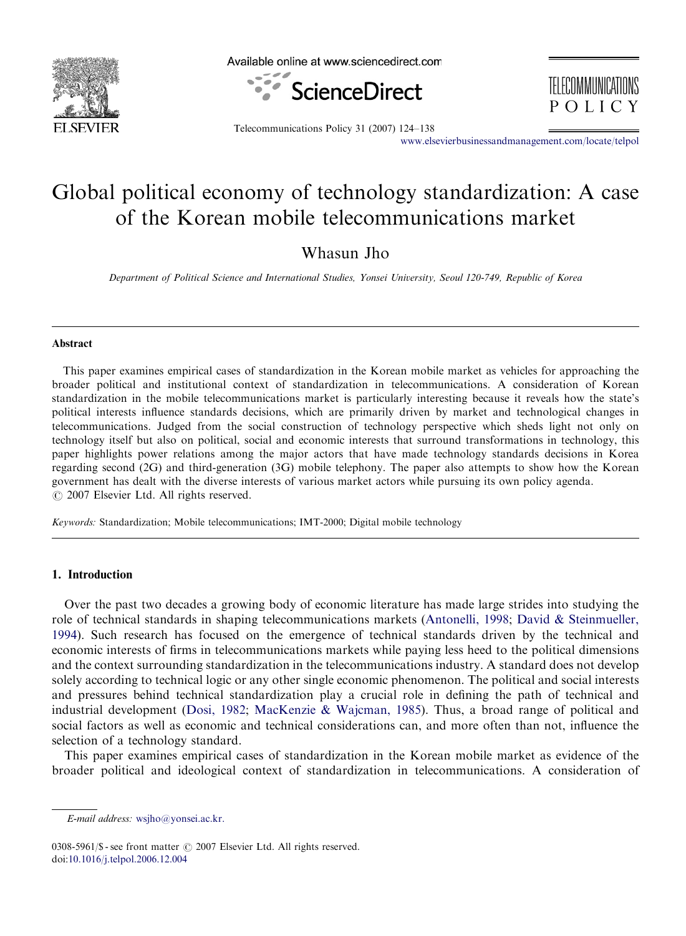

Available online at www.sciencedirect.com



TELECOMMINICATIONS POLICY

Telecommunications Policy 31 (2007) 124–138

<www.elsevierbusinessandmanagement.com/locate/telpol>

# Global political economy of technology standardization: A case of the Korean mobile telecommunications market

Whasun Jho

Department of Political Science and International Studies, Yonsei University, Seoul 120-749, Republic of Korea

#### Abstract

This paper examines empirical cases of standardization in the Korean mobile market as vehicles for approaching the broader political and institutional context of standardization in telecommunications. A consideration of Korean standardization in the mobile telecommunications market is particularly interesting because it reveals how the state's political interests influence standards decisions, which are primarily driven by market and technological changes in telecommunications. Judged from the social construction of technology perspective which sheds light not only on technology itself but also on political, social and economic interests that surround transformations in technology, this paper highlights power relations among the major actors that have made technology standards decisions in Korea regarding second (2G) and third-generation (3G) mobile telephony. The paper also attempts to show how the Korean government has dealt with the diverse interests of various market actors while pursuing its own policy agenda.  $O$  2007 Elsevier Ltd. All rights reserved.

Keywords: Standardization; Mobile telecommunications; IMT-2000; Digital mobile technology

## 1. Introduction

Over the past two decades a growing body of economic literature has made large strides into studying the role of technical standards in shaping telecommunications markets ([Antonelli, 1998](#page--1-0); [David](#page--1-0) [& Steinmueller,](#page--1-0) [1994](#page--1-0)). Such research has focused on the emergence of technical standards driven by the technical and economic interests of firms in telecommunications markets while paying less heed to the political dimensions and the context surrounding standardization in the telecommunications industry. A standard does not develop solely according to technical logic or any other single economic phenomenon. The political and social interests and pressures behind technical standardization play a crucial role in defining the path of technical and industrial development ([Dosi, 1982](#page--1-0); [MacKenzie & Wajcman, 1985](#page--1-0)). Thus, a broad range of political and social factors as well as economic and technical considerations can, and more often than not, influence the selection of a technology standard.

This paper examines empirical cases of standardization in the Korean mobile market as evidence of the broader political and ideological context of standardization in telecommunications. A consideration of

0308-5961/\$ - see front matter  $\odot$  2007 Elsevier Ltd. All rights reserved. doi[:10.1016/j.telpol.2006.12.004](dx.doi.org/10.1016/j.telpol.2006.12.004)

E-mail address: [wsjho@yonsei.ac.kr.](mailto:wsjho@yonsei.ac.kr)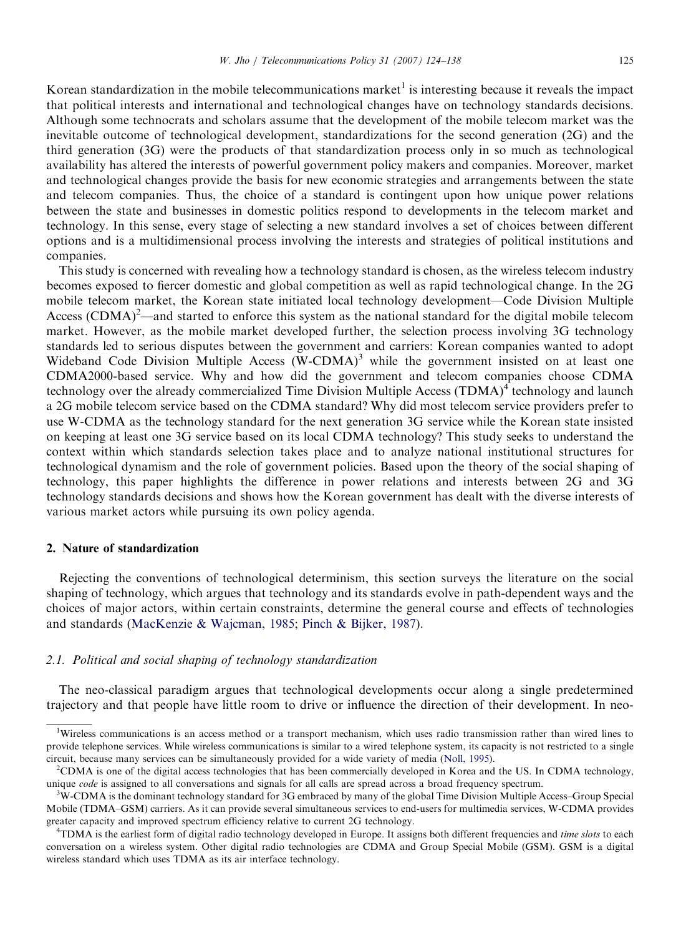Korean standardization in the mobile telecommunications market<sup>1</sup> is interesting because it reveals the impact that political interests and international and technological changes have on technology standards decisions. Although some technocrats and scholars assume that the development of the mobile telecom market was the inevitable outcome of technological development, standardizations for the second generation (2G) and the third generation (3G) were the products of that standardization process only in so much as technological availability has altered the interests of powerful government policy makers and companies. Moreover, market and technological changes provide the basis for new economic strategies and arrangements between the state and telecom companies. Thus, the choice of a standard is contingent upon how unique power relations between the state and businesses in domestic politics respond to developments in the telecom market and technology. In this sense, every stage of selecting a new standard involves a set of choices between different options and is a multidimensional process involving the interests and strategies of political institutions and companies.

This study is concerned with revealing how a technology standard is chosen, as the wireless telecom industry becomes exposed to fiercer domestic and global competition as well as rapid technological change. In the 2G mobile telecom market, the Korean state initiated local technology development—Code Division Multiple Access (CDMA)<sup>2</sup>—and started to enforce this system as the national standard for the digital mobile telecom market. However, as the mobile market developed further, the selection process involving 3G technology standards led to serious disputes between the government and carriers: Korean companies wanted to adopt Wideband Code Division Multiple Access  $(W\text{-CDMA})^3$  while the government insisted on at least one CDMA2000-based service. Why and how did the government and telecom companies choose CDMA technology over the already commercialized Time Division Multiple Access (TDMA)<sup>4</sup> technology and launch a 2G mobile telecom service based on the CDMA standard? Why did most telecom service providers prefer to use W-CDMA as the technology standard for the next generation 3G service while the Korean state insisted on keeping at least one 3G service based on its local CDMA technology? This study seeks to understand the context within which standards selection takes place and to analyze national institutional structures for technological dynamism and the role of government policies. Based upon the theory of the social shaping of technology, this paper highlights the difference in power relations and interests between 2G and 3G technology standards decisions and shows how the Korean government has dealt with the diverse interests of various market actors while pursuing its own policy agenda.

### 2. Nature of standardization

Rejecting the conventions of technological determinism, this section surveys the literature on the social shaping of technology, which argues that technology and its standards evolve in path-dependent ways and the choices of major actors, within certain constraints, determine the general course and effects of technologies and standards [\(MacKenzie](#page--1-0) & [Wajcman, 1985;](#page--1-0) [Pinch](#page--1-0) [& Bijker, 1987](#page--1-0)).

### 2.1. Political and social shaping of technology standardization

The neo-classical paradigm argues that technological developments occur along a single predetermined trajectory and that people have little room to drive or influence the direction of their development. In neo-

<sup>&</sup>lt;sup>1</sup>Wireless communications is an access method or a transport mechanism, which uses radio transmission rather than wired lines to provide telephone services. While wireless communications is similar to a wired telephone system, its capacity is not restricted to a single circuit, because many services can be simultaneously provided for a wide variety of media [\(Noll, 1995](#page--1-0)).

<sup>&</sup>lt;sup>2</sup>CDMA is one of the digital access technologies that has been commercially developed in Korea and the US. In CDMA technology, unique *code* is assigned to all conversations and signals for all calls are spread across a broad frequency spectrum.

 $\rm^3W\text{-}CDMA$  is the dominant technology standard for 3G embraced by many of the global Time Division Multiple Access–Group Special Mobile (TDMA–GSM) carriers. As it can provide several simultaneous services to end-users for multimedia services, W-CDMA provides greater capacity and improved spectrum efficiency relative to current 2G technology. <sup>4</sup>

<sup>&</sup>lt;sup>4</sup>TDMA is the earliest form of digital radio technology developed in Europe. It assigns both different frequencies and time slots to each conversation on a wireless system. Other digital radio technologies are CDMA and Group Special Mobile (GSM). GSM is a digital wireless standard which uses TDMA as its air interface technology.